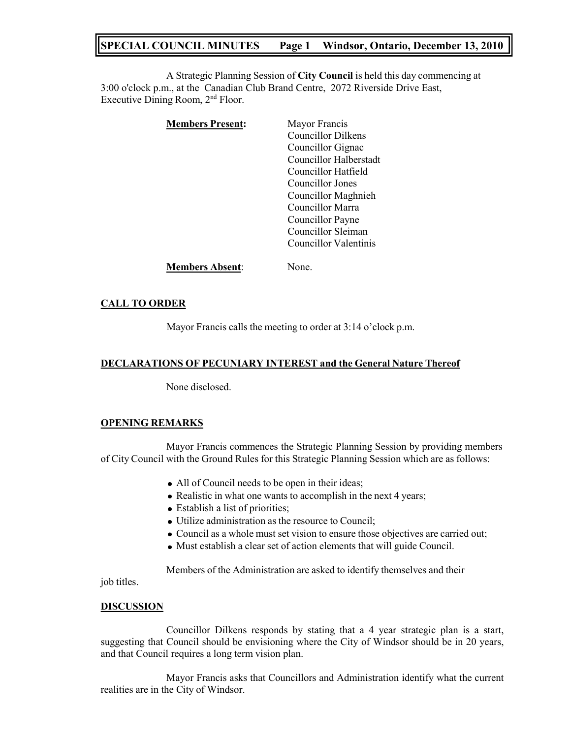# **SPECIAL COUNCIL MINUTES Page 1 Windsor, Ontario, December 13, 2010**

A Strategic Planning Session of **City Council** is held this day commencing at 3:00 o'clock p.m., at the Canadian Club Brand Centre, 2072 Riverside Drive East, Executive Dining Room, 2<sup>nd</sup> Floor.

| <b>Members Present:</b> | Mayor Francis<br><b>Councillor Dilkens</b><br>Councillor Gignac<br>Councillor Halberstadt<br>Councillor Hatfield               |
|-------------------------|--------------------------------------------------------------------------------------------------------------------------------|
|                         | Councillor Jones<br>Councillor Maghnieh<br>Councillor Marra<br>Councillor Payne<br>Councillor Sleiman<br>Councillor Valentinis |
| <b>Members Absent:</b>  | None.                                                                                                                          |

### **CALL TO ORDER**

Mayor Francis calls the meeting to order at 3:14 o'clock p.m.

### **DECLARATIONS OF PECUNIARY INTEREST and the General Nature Thereof**

None disclosed.

### **OPENING REMARKS**

Mayor Francis commences the Strategic Planning Session by providing members of City Council with the Ground Rules for this Strategic Planning Session which are as follows:

- All of Council needs to be open in their ideas;
- Realistic in what one wants to accomplish in the next 4 years;
- Establish a list of priorities;
- Utilize administration as the resource to Council;
- Council as a whole must set vision to ensure those objectives are carried out;
- Must establish a clear set of action elements that will guide Council.

Members of the Administration are asked to identify themselves and their

job titles.

### **DISCUSSION**

Councillor Dilkens responds by stating that a 4 year strategic plan is a start, suggesting that Council should be envisioning where the City of Windsor should be in 20 years, and that Council requires a long term vision plan.

Mayor Francis asks that Councillors and Administration identify what the current realities are in the City of Windsor.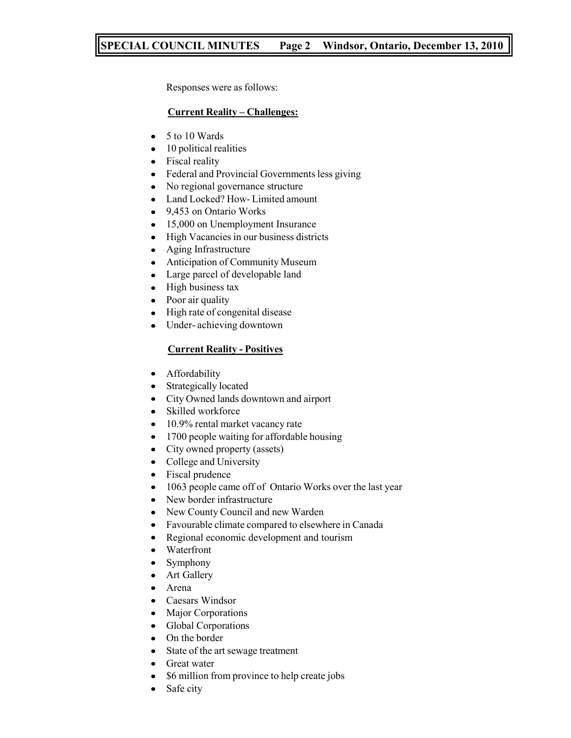# **SPECIAL COUNCIL MINUTES Page 2 Windsor, Ontario, December 13, 2010**

Responses were as follows:

## **Current Reality – Challenges:**

- 5 to 10 Wards  $\bullet$
- 10 political realities
- Fiscal reality
- Federal and Provincial Governments less giving  $\bullet$
- $\bullet$ No regional governance structure
- $\bullet$ Land Locked? How- Limited amount
- $\bullet$ 9,453 on Ontario Works
- 15,000 on Unemployment Insurance
- $\bullet$ High Vacancies in our business districts
- $\bullet$ Aging Infrastructure
- Anticipation of Community Museum  $\bullet$
- $\bullet$ Large parcel of developable land
- High business tax  $\bullet$
- $\bullet$ Poor air quality
- High rate of congenital disease  $\bullet$
- Under- achieving downtown  $\bullet$

# **Current Reality - Positives**

- Affordability  $\bullet$
- Strategically located  $\bullet$
- $\bullet$ City Owned lands downtown and airport
- $\bullet$ Skilled workforce
- 10.9% rental market vacancy rate  $\bullet$
- 1700 people waiting for affordable housing  $\bullet$
- $\bullet$ City owned property (assets)
- College and University  $\bullet$
- $\bullet$ Fiscal prudence
- 1063 people came off of Ontario Works over the last year  $\bullet$
- $\bullet$ New border infrastructure
- New County Council and new Warden  $\bullet$
- Favourable climate compared to elsewhere in Canada  $\bullet$
- Regional economic development and tourism  $\bullet$
- Waterfront  $\bullet$
- Symphony  $\bullet$
- Art Gallery  $\bullet$
- Arena
- Caesars Windsor  $\bullet$
- $\bullet$ Major Corporations
- Global Corporations  $\bullet$
- On the border
- State of the art sewage treatment  $\bullet$
- $\bullet$ Great water
- \$6 million from province to help create jobs
- Safe city $\bullet$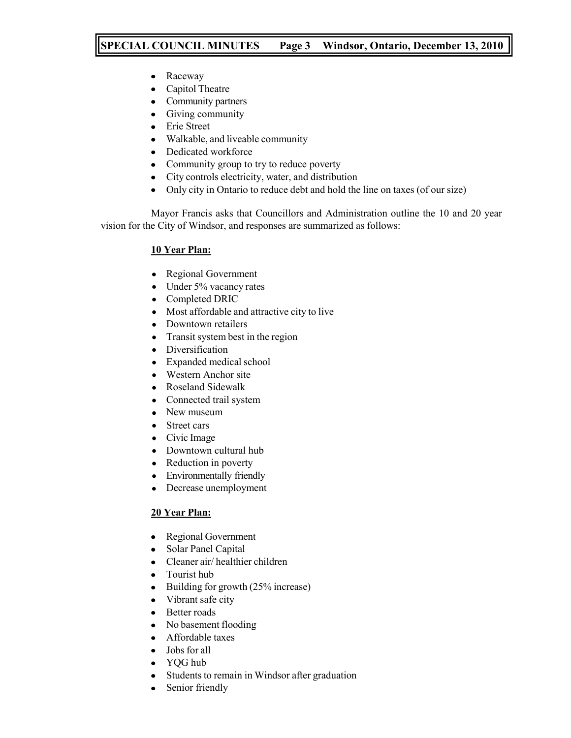# **SPECIAL COUNCIL MINUTES Page 3 Windsor, Ontario, December 13, 2010**

- Raceway  $\bullet$
- Capitol Theatre  $\bullet$
- $\bullet$ Community partners
- Giving community  $\bullet$
- Erie Street
- Walkable, and liveable community  $\bullet$
- $\bullet$ Dedicated workforce
- Community group to try to reduce poverty  $\bullet$
- City controls electricity, water, and distribution
- Only city in Ontario to reduce debt and hold the line on taxes (of our size)  $\bullet$

Mayor Francis asks that Councillors and Administration outline the 10 and 20 year vision for the City of Windsor, and responses are summarized as follows:

# **10 Year Plan:**

- Regional Government  $\bullet$
- Under 5% vacancy rates  $\bullet$
- $\bullet$ Completed DRIC
- Most affordable and attractive city to live  $\bullet$
- $\bullet$ Downtown retailers
- Transit system best in the region  $\bullet$
- $\bullet$ Diversification
- Expanded medical school
- Western Anchor site
- $\bullet$ Roseland Sidewalk
- Connected trail system  $\bullet$
- New museum
- Street cars  $\bullet$
- Civic Image
- Downtown cultural hub
- Reduction in poverty  $\bullet$
- Environmentally friendly  $\bullet$
- Decrease unemployment  $\bullet$

# **20 Year Plan:**

- Regional Government
- Solar Panel Capital  $\bullet$
- Cleaner air/ healthier children  $\bullet$
- Tourist hub  $\bullet$
- Building for growth (25% increase)  $\bullet$
- $\bullet$ Vibrant safe city
- Better roads  $\bullet$
- No basement flooding  $\bullet$
- Affordable taxes
- $\bullet$ Jobs for all
- YQG hub
- Students to remain in Windsor after graduation  $\bullet$
- Senior friendly $\bullet$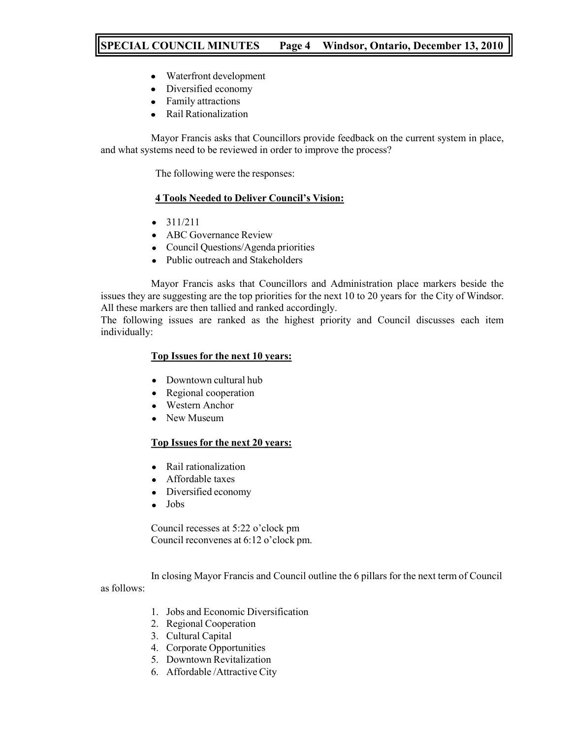# **SPECIAL COUNCIL MINUTES Page 4 Windsor, Ontario, December 13, 2010**

- Waterfront development  $\bullet$
- Diversified economy  $\bullet$
- Family attractions  $\bullet$
- Rail Rationalization

Mayor Francis asks that Councillors provide feedback on the current system in place, and what systems need to be reviewed in order to improve the process?

The following were the responses:

# **4 Tools Needed to Deliver Council's Vision:**

- $311/211$
- ABC Governance Review
- Council Questions/Agenda priorities
- Public outreach and Stakeholders

Mayor Francis asks that Councillors and Administration place markers beside the issues they are suggesting are the top priorities for the next 10 to 20 years for the City of Windsor. All these markers are then tallied and ranked accordingly.

The following issues are ranked as the highest priority and Council discusses each item individually:

### **Top Issues for the next 10 years:**

- Downtown cultural hub
- Regional cooperation
- Western Anchor
- New Museum

### **Top Issues for the next 20 years:**

- Rail rationalization
- Affordable taxes
- Diversified economy
- Jobs

Council recesses at 5:22 o'clock pm Council reconvenes at 6:12 o'clock pm.

In closing Mayor Francis and Council outline the 6 pillars for the next term of Council as follows:

- 1. Jobs and Economic Diversification
- 2. Regional Cooperation
- 3. Cultural Capital
- 4. Corporate Opportunities
- 5. Downtown Revitalization
- 6. Affordable /Attractive City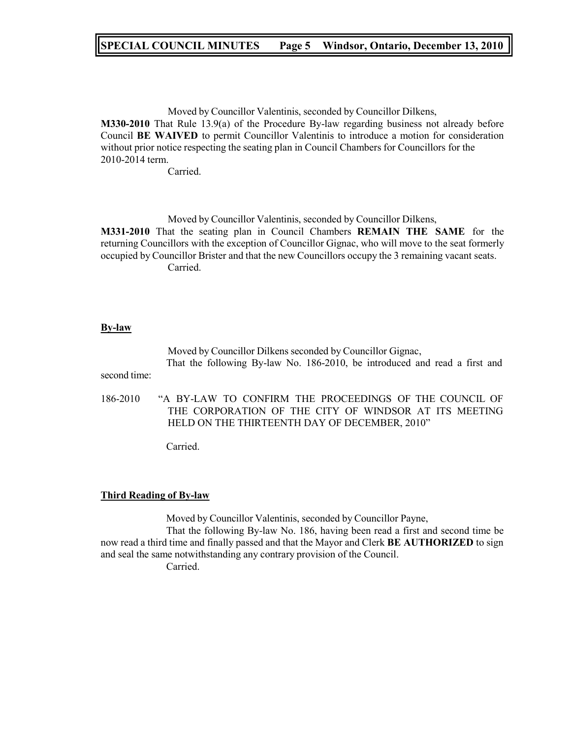# **SPECIAL COUNCIL MINUTES Page 5 Windsor, Ontario, December 13, 2010**

Moved by Councillor Valentinis, seconded by Councillor Dilkens, **M330-2010** That Rule 13.9(a) of the Procedure By-law regarding business not already before Council **BE WAIVED** to permit Councillor Valentinis to introduce a motion for consideration without prior notice respecting the seating plan in Council Chambers for Councillors for the 2010-2014 term.

Carried.

Moved by Councillor Valentinis, seconded by Councillor Dilkens, **M331-2010** That the seating plan in Council Chambers **REMAIN THE SAME** for the returning Councillors with the exception of Councillor Gignac, who will move to the seat formerly occupied by Councillor Brister and that the new Councillors occupy the 3 remaining vacant seats. Carried.

#### **By-law**

Moved by Councillor Dilkens seconded by Councillor Gignac, That the following By-law No. 186-2010, be introduced and read a first and

second time:

186-2010 "A BY-LAW TO CONFIRM THE PROCEEDINGS OF THE COUNCIL OF THE CORPORATION OF THE CITY OF WINDSOR AT ITS MEETING HELD ON THE THIRTEENTH DAY OF DECEMBER, 2010"

Carried.

#### **Third Reading of By-law**

Moved by Councillor Valentinis, seconded by Councillor Payne,

That the following By-law No. 186, having been read a first and second time be now read a third time and finally passed and that the Mayor and Clerk **BE AUTHORIZED** to sign and seal the same notwithstanding any contrary provision of the Council.

Carried.